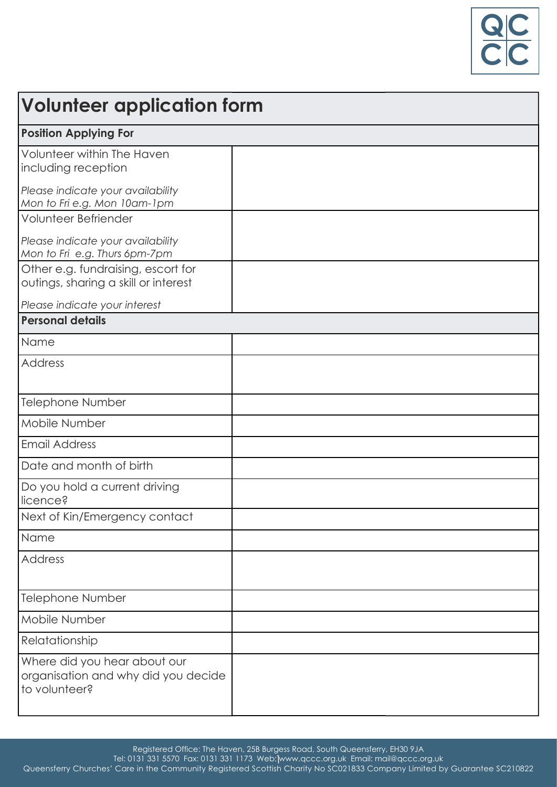

| Volunteer application form                                                                 |  |
|--------------------------------------------------------------------------------------------|--|
| <b>Position Applying For</b>                                                               |  |
| Volunteer within The Haven<br>including reception                                          |  |
| Please indicate your availability<br>Mon to Fri e.g. Mon 10am-1pm                          |  |
| Volunteer Befriender<br>Please indicate your availability<br>Mon to Fri e.g. Thurs 6pm-7pm |  |
| Other e.g. fundraising, escort for<br>outings, sharing a skill or interest                 |  |
| Please indicate your interest<br><b>Personal details</b>                                   |  |
|                                                                                            |  |
| Name                                                                                       |  |
| <b>Address</b>                                                                             |  |
| <b>Telephone Number</b>                                                                    |  |
| Mobile Number                                                                              |  |
| <b>Email Address</b>                                                                       |  |
| Date and month of birth                                                                    |  |
| Do you hold a current driving<br>licence?                                                  |  |
| Next of Kin/Emergency contact                                                              |  |
| Name                                                                                       |  |
| <b>Address</b>                                                                             |  |
| <b>Telephone Number</b>                                                                    |  |
| Mobile Number                                                                              |  |
| Relatationship                                                                             |  |
| Where did you hear about our<br>organisation and why did you decide<br>to volunteer?       |  |